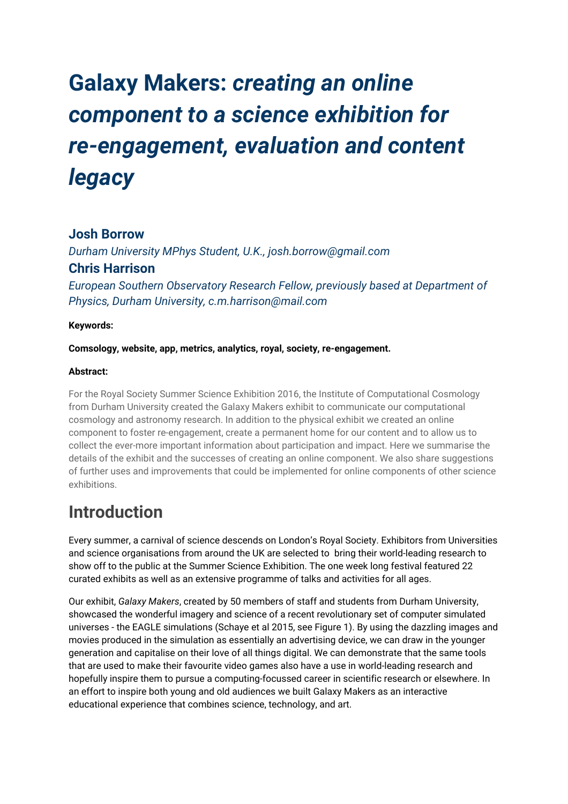# **Galaxy Makers:** *creating an online component to a science exhibition for re-engagement, evaluation and content legacy*

#### **Josh Borrow**

*Durham University MPhys Student, U.K., josh.borrow@gmail.com* **Chris Harrison**

*European Southern Observatory Research Fellow, previously based at Department of Physics, Durham University, c.m.harrison@mail.com*

#### **Keywords:**

**Comsology, website, app, metrics, analytics, royal, society, re-engagement.**

#### **Abstract:**

For the Royal Society Summer Science Exhibition 2016, the Institute of Computational Cosmology from Durham University created the Galaxy Makers exhibit to communicate our computational cosmology and astronomy research. In addition to the physical exhibit we created an online component to foster re-engagement, create a permanent home for our content and to allow us to collect the ever-more important information about participation and impact. Here we summarise the details of the exhibit and the successes of creating an online component. We also share suggestions of further uses and improvements that could be implemented for online components of other science exhibitions.

### **Introduction**

Every summer, a carnival of science descends on London's Royal Society. Exhibitors from Universities and science organisations from around the UK are selected to bring their world-leading research to show off to the public at the Summer Science Exhibition. The one week long festival featured 22 curated exhibits as well as an extensive programme of talks and activities for all ages.

Our exhibit, *Galaxy Makers*, created by 50 members of staff and students from Durham University, showcased the wonderful imagery and science of a recent revolutionary set of computer simulated universes - the EAGLE simulations (Schaye et al 2015, see Figure 1). By using the dazzling images and movies produced in the simulation as essentially an advertising device, we can draw in the younger generation and capitalise on their love of all things digital. We can demonstrate that the same tools that are used to make their favourite video games also have a use in world-leading research and hopefully inspire them to pursue a computing-focussed career in scientific research or elsewhere. In an effort to inspire both young and old audiences we built Galaxy Makers as an interactive educational experience that combines science, technology, and art.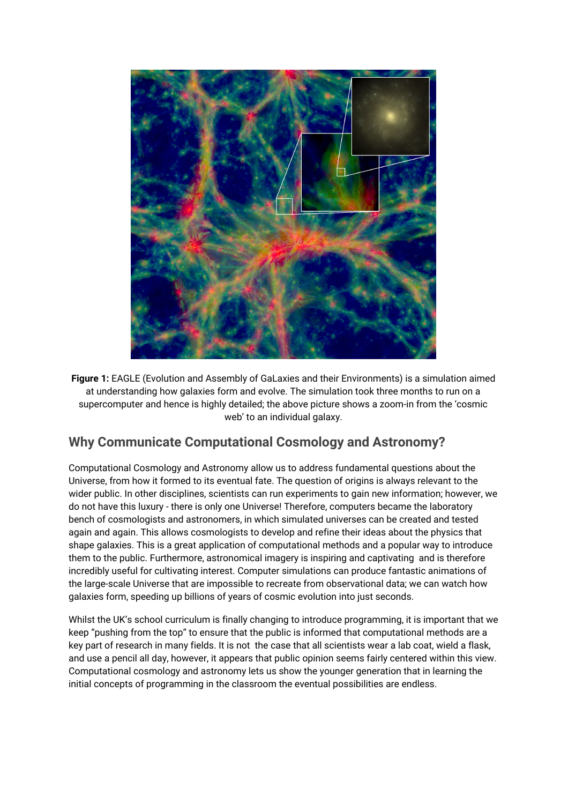

**Figure 1:** EAGLE (Evolution and Assembly of GaLaxies and their Environments) is a simulation aimed at understanding how galaxies form and evolve. The simulation took three months to run on a supercomputer and hence is highly detailed; the above picture shows a zoom-in from the 'cosmic web' to an individual galaxy.

#### **Why Communicate Computational Cosmology and Astronomy?**

Computational Cosmology and Astronomy allow us to address fundamental questions about the Universe, from how it formed to its eventual fate. The question of origins is always relevant to the wider public. In other disciplines, scientists can run experiments to gain new information; however, we do not have this luxury - there is only one Universe! Therefore, computers became the laboratory bench of cosmologists and astronomers, in which simulated universes can be created and tested again and again. This allows cosmologists to develop and refine their ideas about the physics that shape galaxies. This is a great application of computational methods and a popular way to introduce them to the public. Furthermore, astronomical imagery is inspiring and captivating and is therefore incredibly useful for cultivating interest. Computer simulations can produce fantastic animations of the large-scale Universe that are impossible to recreate from observational data; we can watch how galaxies form, speeding up billions of years of cosmic evolution into just seconds.

Whilst the UK's school curriculum is finally changing to introduce programming, it is important that we keep "pushing from the top" to ensure that the public is informed that computational methods are a key part of research in many fields. It is not the case that all scientists wear a lab coat, wield a flask, and use a pencil all day, however, it appears that public opinion seems fairly centered within this view. Computational cosmology and astronomy lets us show the younger generation that in learning the initial concepts of programming in the classroom the eventual possibilities are endless.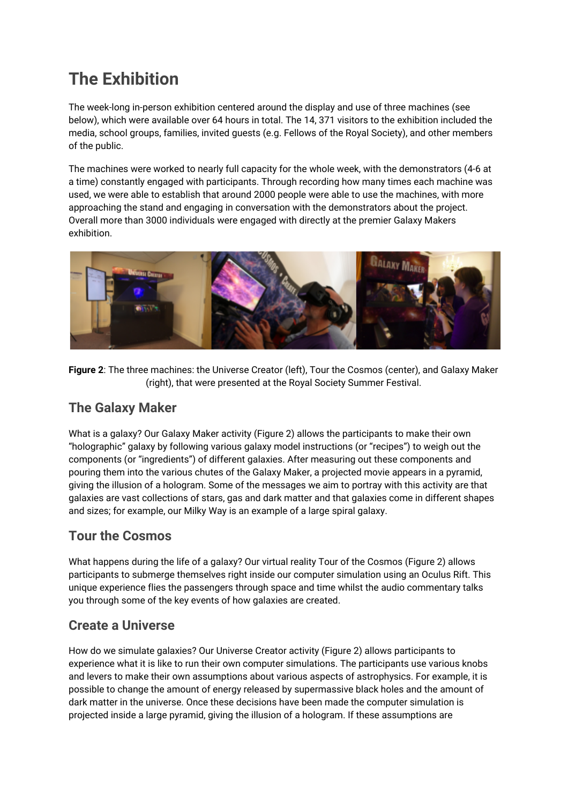### **The Exhibition**

The week-long in-person exhibition centered around the display and use of three machines (see below), which were available over 64 hours in total. The 14, 371 visitors to the exhibition included the media, school groups, families, invited guests (e.g. Fellows of the Royal Society), and other members of the public.

The machines were worked to nearly full capacity for the whole week, with the demonstrators (4-6 at a time) constantly engaged with participants. Through recording how many times each machine was used, we were able to establish that around 2000 people were able to use the machines, with more approaching the stand and engaging in conversation with the demonstrators about the project. Overall more than 3000 individuals were engaged with directly at the premier Galaxy Makers exhibition.



**Figure 2**: The three machines: the Universe Creator (left), Tour the Cosmos (center), and Galaxy Maker (right), that were presented at the Royal Society Summer Festival.

#### **The Galaxy Maker**

What is a galaxy? Our Galaxy Maker activity (Figure 2) allows the participants to make their own "holographic" galaxy by following various galaxy model instructions (or "recipes") to weigh out the components (or "ingredients") of different galaxies. After measuring out these components and pouring them into the various chutes of the Galaxy Maker, a projected movie appears in a pyramid, giving the illusion of a hologram. Some of the messages we aim to portray with this activity are that galaxies are vast collections of stars, gas and dark matter and that galaxies come in different shapes and sizes; for example, our Milky Way is an example of a large spiral galaxy.

### **Tour the Cosmos**

What happens during the life of a galaxy? Our virtual reality Tour of the Cosmos (Figure 2) allows participants to submerge themselves right inside our computer simulation using an Oculus Rift. This unique experience flies the passengers through space and time whilst the audio commentary talks you through some of the key events of how galaxies are created.

### **Create a Universe**

How do we simulate galaxies? Our Universe Creator activity (Figure 2) allows participants to experience what it is like to run their own computer simulations. The participants use various knobs and levers to make their own assumptions about various aspects of astrophysics. For example, it is possible to change the amount of energy released by supermassive black holes and the amount of dark matter in the universe. Once these decisions have been made the computer simulation is projected inside a large pyramid, giving the illusion of a hologram. If these assumptions are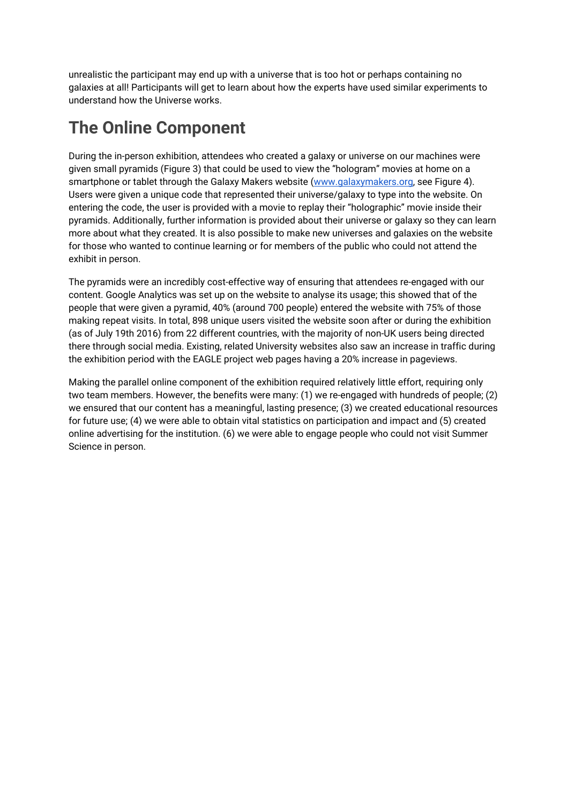unrealistic the participant may end up with a universe that is too hot or perhaps containing no galaxies at all! Participants will get to learn about how the experts have used similar experiments to understand how the Universe works.

### **The Online Component**

During the in-person exhibition, attendees who created a galaxy or universe on our machines were given small pyramids (Figure 3) that could be used to view the "hologram" movies at home on a smartphone or tablet through the Galaxy Makers website [\(www.galaxymakers.org](http://www.galaxymakers.org/), see Figure 4). Users were given a unique code that represented their universe/galaxy to type into the website. On entering the code, the user is provided with a movie to replay their "holographic" movie inside their pyramids. Additionally, further information is provided about their universe or galaxy so they can learn more about what they created. It is also possible to make new universes and galaxies on the website for those who wanted to continue learning or for members of the public who could not attend the exhibit in person.

The pyramids were an incredibly cost-effective way of ensuring that attendees re-engaged with our content. Google Analytics was set up on the website to analyse its usage; this showed that of the people that were given a pyramid, 40% (around 700 people) entered the website with 75% of those making repeat visits. In total, 898 unique users visited the website soon after or during the exhibition (as of July 19th 2016) from 22 different countries, with the majority of non-UK users being directed there through social media. Existing, related University websites also saw an increase in traffic during the exhibition period with the EAGLE project web pages having a 20% increase in pageviews.

Making the parallel online component of the exhibition required relatively little effort, requiring only two team members. However, the benefits were many: (1) we re-engaged with hundreds of people; (2) we ensured that our content has a meaningful, lasting presence; (3) we created educational resources for future use; (4) we were able to obtain vital statistics on participation and impact and (5) created online advertising for the institution. (6) we were able to engage people who could not visit Summer Science in person.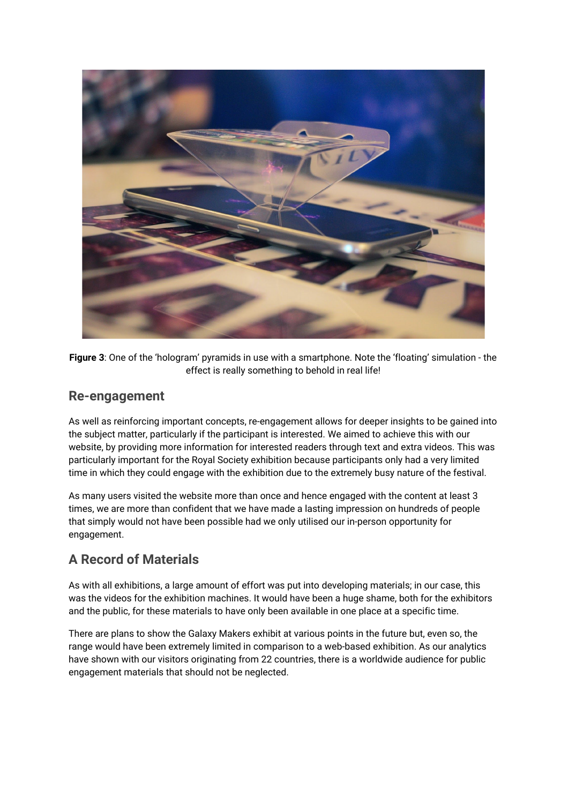

**Figure 3**: One of the 'hologram' pyramids in use with a smartphone. Note the 'floating' simulation - the effect is really something to behold in real life!

#### **Re-engagement**

As well as reinforcing important concepts, re-engagement allows for deeper insights to be gained into the subject matter, particularly if the participant is interested. We aimed to achieve this with our website, by providing more information for interested readers through text and extra videos. This was particularly important for the Royal Society exhibition because participants only had a very limited time in which they could engage with the exhibition due to the extremely busy nature of the festival.

As many users visited the website more than once and hence engaged with the content at least 3 times, we are more than confident that we have made a lasting impression on hundreds of people that simply would not have been possible had we only utilised our in-person opportunity for engagement.

#### **A Record of Materials**

As with all exhibitions, a large amount of effort was put into developing materials; in our case, this was the videos for the exhibition machines. It would have been a huge shame, both for the exhibitors and the public, for these materials to have only been available in one place at a specific time.

There are plans to show the Galaxy Makers exhibit at various points in the future but, even so, the range would have been extremely limited in comparison to a web-based exhibition. As our analytics have shown with our visitors originating from 22 countries, there is a worldwide audience for public engagement materials that should not be neglected.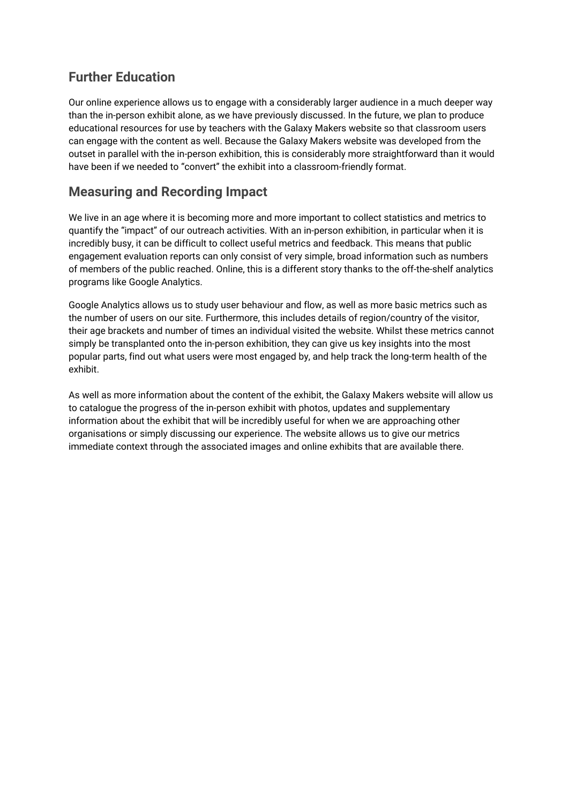### **Further Education**

Our online experience allows us to engage with a considerably larger audience in a much deeper way than the in-person exhibit alone, as we have previously discussed. In the future, we plan to produce educational resources for use by teachers with the Galaxy Makers website so that classroom users can engage with the content as well. Because the Galaxy Makers website was developed from the outset in parallel with the in-person exhibition, this is considerably more straightforward than it would have been if we needed to "convert" the exhibit into a classroom-friendly format.

#### **Measuring and Recording Impact**

We live in an age where it is becoming more and more important to collect statistics and metrics to quantify the "impact" of our outreach activities. With an in-person exhibition, in particular when it is incredibly busy, it can be difficult to collect useful metrics and feedback. This means that public engagement evaluation reports can only consist of very simple, broad information such as numbers of members of the public reached. Online, this is a different story thanks to the off-the-shelf analytics programs like Google Analytics.

Google Analytics allows us to study user behaviour and flow, as well as more basic metrics such as the number of users on our site. Furthermore, this includes details of region/country of the visitor, their age brackets and number of times an individual visited the website. Whilst these metrics cannot simply be transplanted onto the in-person exhibition, they can give us key insights into the most popular parts, find out what users were most engaged by, and help track the long-term health of the exhibit.

As well as more information about the content of the exhibit, the Galaxy Makers website will allow us to catalogue the progress of the in-person exhibit with photos, updates and supplementary information about the exhibit that will be incredibly useful for when we are approaching other organisations or simply discussing our experience. The website allows us to give our metrics immediate context through the associated images and online exhibits that are available there.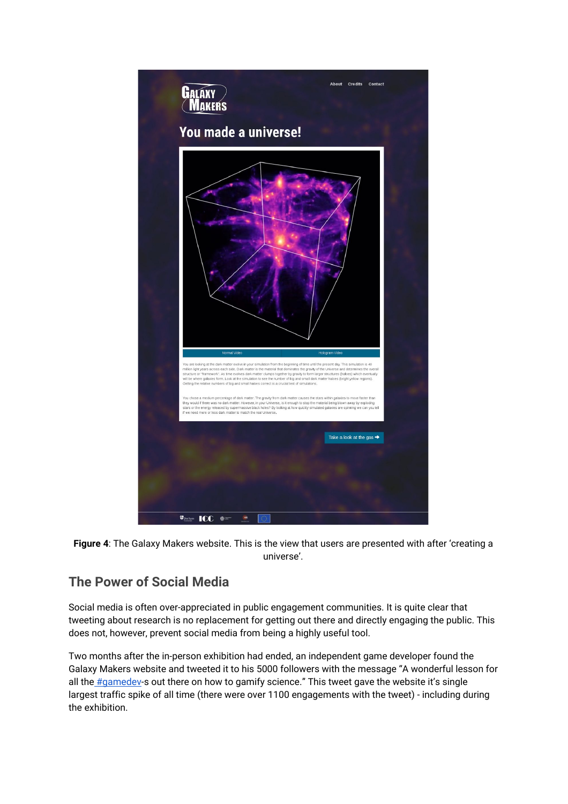

**Figure 4**: The Galaxy Makers website. This is the view that users are presented with after 'creating a universe'.

#### **The Power of Social Media**

Social media is often over-appreciated in public engagement communities. It is quite clear that tweeting about research is no replacement for getting out there and directly engaging the public. This does not, however, prevent social media from being a highly useful tool.

Two months after the in-person exhibition had ended, an independent game developer found the Galaxy Makers website and tweeted it to his 5000 followers with the message "A wonderful lesson for all the **[#gamedev-](https://twitter.com/hashtag/gamedev?src=hash)s out there on how to gamify science**." This tweet gave the website it's single largest traffic spike of all time (there were over 1100 engagements with the tweet) - including during the exhibition.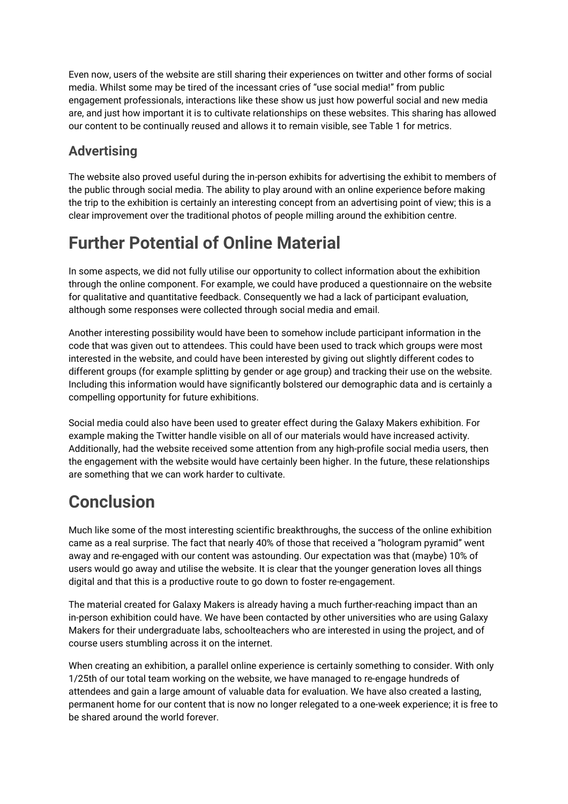Even now, users of the website are still sharing their experiences on twitter and other forms of social media. Whilst some may be tired of the incessant cries of "use social media!" from public engagement professionals, interactions like these show us just how powerful social and new media are, and just how important it is to cultivate relationships on these websites. This sharing has allowed our content to be continually reused and allows it to remain visible, see Table 1 for metrics.

### **Advertising**

The website also proved useful during the in-person exhibits for advertising the exhibit to members of the public through social media. The ability to play around with an online experience before making the trip to the exhibition is certainly an interesting concept from an advertising point of view; this is a clear improvement over the traditional photos of people milling around the exhibition centre.

### **Further Potential of Online Material**

In some aspects, we did not fully utilise our opportunity to collect information about the exhibition through the online component. For example, we could have produced a questionnaire on the website for qualitative and quantitative feedback. Consequently we had a lack of participant evaluation, although some responses were collected through social media and email.

Another interesting possibility would have been to somehow include participant information in the code that was given out to attendees. This could have been used to track which groups were most interested in the website, and could have been interested by giving out slightly different codes to different groups (for example splitting by gender or age group) and tracking their use on the website. Including this information would have significantly bolstered our demographic data and is certainly a compelling opportunity for future exhibitions.

Social media could also have been used to greater effect during the Galaxy Makers exhibition. For example making the Twitter handle visible on all of our materials would have increased activity. Additionally, had the website received some attention from any high-profile social media users, then the engagement with the website would have certainly been higher. In the future, these relationships are something that we can work harder to cultivate.

# **Conclusion**

Much like some of the most interesting scientific breakthroughs, the success of the online exhibition came as a real surprise. The fact that nearly 40% of those that received a "hologram pyramid" went away and re-engaged with our content was astounding. Our expectation was that (maybe) 10% of users would go away and utilise the website. It is clear that the younger generation loves all things digital and that this is a productive route to go down to foster re-engagement.

The material created for Galaxy Makers is already having a much further-reaching impact than an in-person exhibition could have. We have been contacted by other universities who are using Galaxy Makers for their undergraduate labs, schoolteachers who are interested in using the project, and of course users stumbling across it on the internet.

When creating an exhibition, a parallel online experience is certainly something to consider. With only 1/25th of our total team working on the website, we have managed to re-engage hundreds of attendees and gain a large amount of valuable data for evaluation. We have also created a lasting, permanent home for our content that is now no longer relegated to a one-week experience; it is free to be shared around the world forever.